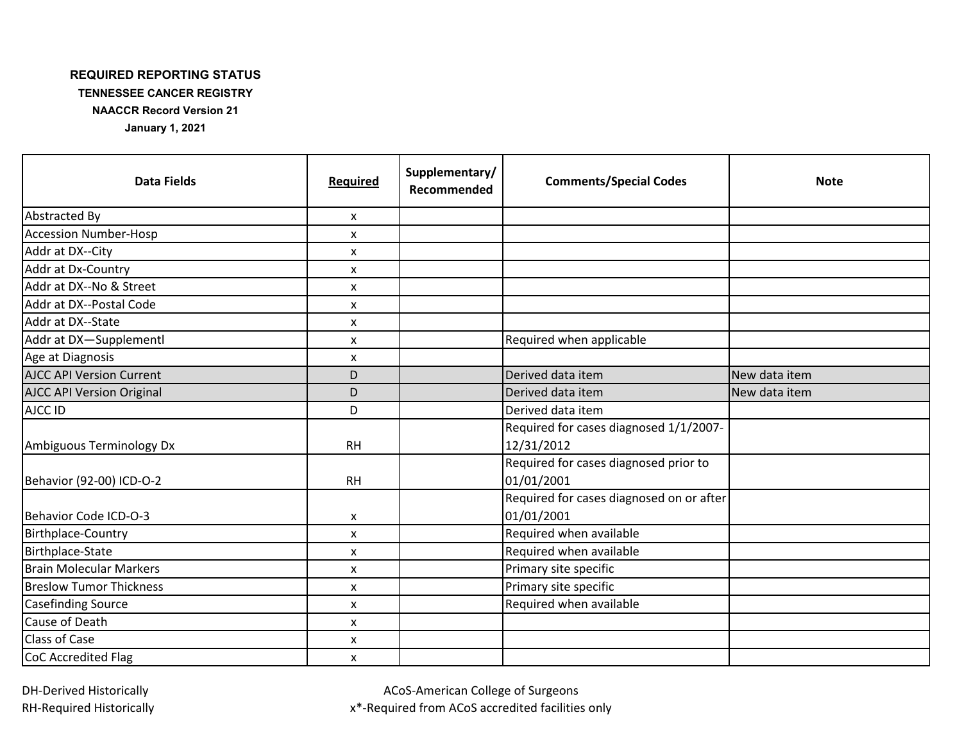## **REQUIRED REPORTING STATUS**

**TENNESSEE CANCER REGISTRY**

**NAACCR Record Version 21**

**January 1, 2021**

| <b>Data Fields</b>               | <b>Required</b>           | Supplementary/<br>Recommended | <b>Comments/Special Codes</b>                          | <b>Note</b>   |
|----------------------------------|---------------------------|-------------------------------|--------------------------------------------------------|---------------|
| Abstracted By                    | X                         |                               |                                                        |               |
| <b>Accession Number-Hosp</b>     | X                         |                               |                                                        |               |
| Addr at DX--City                 | $\boldsymbol{\mathsf{x}}$ |                               |                                                        |               |
| Addr at Dx-Country               | $\mathsf{x}$              |                               |                                                        |               |
| Addr at DX--No & Street          | X                         |                               |                                                        |               |
| Addr at DX--Postal Code          | $\pmb{\mathsf{X}}$        |                               |                                                        |               |
| Addr at DX--State                | $\boldsymbol{\mathsf{x}}$ |                               |                                                        |               |
| Addr at DX-Supplementl           | X                         |                               | Required when applicable                               |               |
| Age at Diagnosis                 | $\boldsymbol{\mathsf{x}}$ |                               |                                                        |               |
| <b>AJCC API Version Current</b>  | D                         |                               | Derived data item                                      | New data item |
| <b>AJCC API Version Original</b> | D                         |                               | Derived data item                                      | New data item |
| AJCC ID                          | D                         |                               | Derived data item                                      |               |
|                                  |                           |                               | Required for cases diagnosed 1/1/2007-                 |               |
| Ambiguous Terminology Dx         | <b>RH</b>                 |                               | 12/31/2012                                             |               |
| Behavior (92-00) ICD-O-2         | <b>RH</b>                 |                               | Required for cases diagnosed prior to<br>01/01/2001    |               |
| Behavior Code ICD-O-3            | X                         |                               | Required for cases diagnosed on or after<br>01/01/2001 |               |
| Birthplace-Country               | X                         |                               | Required when available                                |               |
| Birthplace-State                 | X                         |                               | Required when available                                |               |
| <b>Brain Molecular Markers</b>   | $\mathsf{x}$              |                               | Primary site specific                                  |               |
| <b>Breslow Tumor Thickness</b>   | X                         |                               | Primary site specific                                  |               |
| <b>Casefinding Source</b>        | $\pmb{\mathsf{X}}$        |                               | Required when available                                |               |
| <b>Cause of Death</b>            | $\mathsf{x}$              |                               |                                                        |               |
| <b>Class of Case</b>             | X                         |                               |                                                        |               |
| CoC Accredited Flag              | X                         |                               |                                                        |               |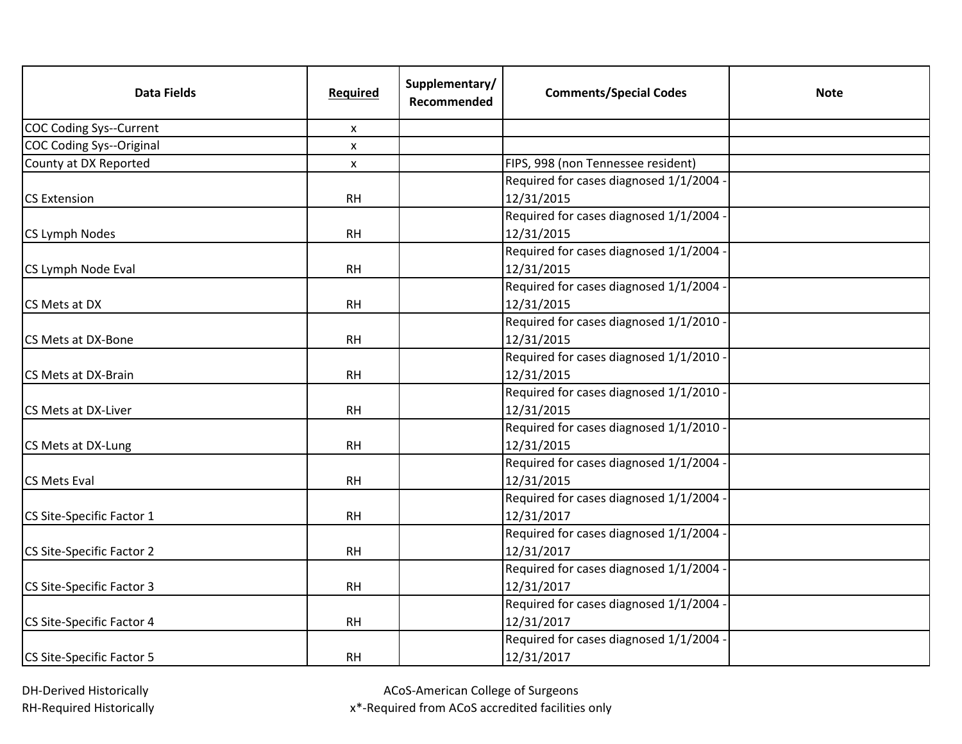| <b>Data Fields</b>               | Required       | Supplementary/<br>Recommended | <b>Comments/Special Codes</b>         | <b>Note</b> |
|----------------------------------|----------------|-------------------------------|---------------------------------------|-------------|
| COC Coding Sys--Current          | X              |                               |                                       |             |
| COC Coding Sys--Original         | $\pmb{\times}$ |                               |                                       |             |
| County at DX Reported            | X              |                               | FIPS, 998 (non Tennessee resident)    |             |
|                                  |                |                               | Required for cases diagnosed 1/1/2004 |             |
| <b>CS Extension</b>              | <b>RH</b>      |                               | 12/31/2015                            |             |
|                                  |                |                               | Required for cases diagnosed 1/1/2004 |             |
| CS Lymph Nodes                   | <b>RH</b>      |                               | 12/31/2015                            |             |
|                                  |                |                               | Required for cases diagnosed 1/1/2004 |             |
| CS Lymph Node Eval               | <b>RH</b>      |                               | 12/31/2015                            |             |
|                                  |                |                               | Required for cases diagnosed 1/1/2004 |             |
| CS Mets at DX                    | <b>RH</b>      |                               | 12/31/2015                            |             |
|                                  |                |                               | Required for cases diagnosed 1/1/2010 |             |
| CS Mets at DX-Bone               | <b>RH</b>      |                               | 12/31/2015                            |             |
|                                  |                |                               | Required for cases diagnosed 1/1/2010 |             |
| CS Mets at DX-Brain              | <b>RH</b>      |                               | 12/31/2015                            |             |
|                                  |                |                               | Required for cases diagnosed 1/1/2010 |             |
| CS Mets at DX-Liver              | <b>RH</b>      |                               | 12/31/2015                            |             |
|                                  |                |                               | Required for cases diagnosed 1/1/2010 |             |
| CS Mets at DX-Lung               | <b>RH</b>      |                               | 12/31/2015                            |             |
|                                  |                |                               | Required for cases diagnosed 1/1/2004 |             |
| <b>CS Mets Eval</b>              | <b>RH</b>      |                               | 12/31/2015                            |             |
|                                  |                |                               | Required for cases diagnosed 1/1/2004 |             |
| CS Site-Specific Factor 1        | <b>RH</b>      |                               | 12/31/2017                            |             |
|                                  |                |                               | Required for cases diagnosed 1/1/2004 |             |
| CS Site-Specific Factor 2        | <b>RH</b>      |                               | 12/31/2017                            |             |
|                                  |                |                               | Required for cases diagnosed 1/1/2004 |             |
| CS Site-Specific Factor 3        | <b>RH</b>      |                               | 12/31/2017                            |             |
|                                  |                |                               | Required for cases diagnosed 1/1/2004 |             |
| CS Site-Specific Factor 4        | <b>RH</b>      |                               | 12/31/2017                            |             |
|                                  |                |                               | Required for cases diagnosed 1/1/2004 |             |
| <b>CS Site-Specific Factor 5</b> | <b>RH</b>      |                               | 12/31/2017                            |             |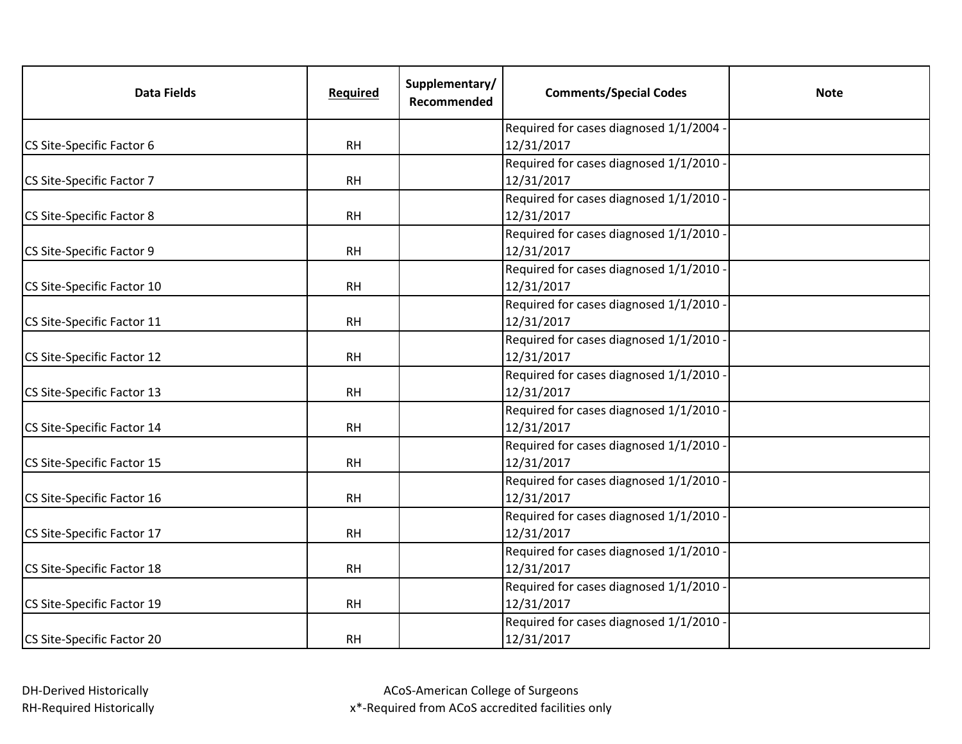| <b>Data Fields</b>         | Required  | Supplementary/<br>Recommended | <b>Comments/Special Codes</b>         | <b>Note</b> |
|----------------------------|-----------|-------------------------------|---------------------------------------|-------------|
|                            |           |                               | Required for cases diagnosed 1/1/2004 |             |
| CS Site-Specific Factor 6  | <b>RH</b> |                               | 12/31/2017                            |             |
|                            |           |                               | Required for cases diagnosed 1/1/2010 |             |
| CS Site-Specific Factor 7  | <b>RH</b> |                               | 12/31/2017                            |             |
|                            |           |                               | Required for cases diagnosed 1/1/2010 |             |
| CS Site-Specific Factor 8  | <b>RH</b> |                               | 12/31/2017                            |             |
|                            |           |                               | Required for cases diagnosed 1/1/2010 |             |
| CS Site-Specific Factor 9  | <b>RH</b> |                               | 12/31/2017                            |             |
|                            |           |                               | Required for cases diagnosed 1/1/2010 |             |
| CS Site-Specific Factor 10 | <b>RH</b> |                               | 12/31/2017                            |             |
|                            |           |                               | Required for cases diagnosed 1/1/2010 |             |
| CS Site-Specific Factor 11 | <b>RH</b> |                               | 12/31/2017                            |             |
|                            |           |                               | Required for cases diagnosed 1/1/2010 |             |
| CS Site-Specific Factor 12 | <b>RH</b> |                               | 12/31/2017                            |             |
|                            |           |                               | Required for cases diagnosed 1/1/2010 |             |
| CS Site-Specific Factor 13 | <b>RH</b> |                               | 12/31/2017                            |             |
|                            |           |                               | Required for cases diagnosed 1/1/2010 |             |
| CS Site-Specific Factor 14 | <b>RH</b> |                               | 12/31/2017                            |             |
|                            |           |                               | Required for cases diagnosed 1/1/2010 |             |
| CS Site-Specific Factor 15 | <b>RH</b> |                               | 12/31/2017                            |             |
|                            |           |                               | Required for cases diagnosed 1/1/2010 |             |
| CS Site-Specific Factor 16 | <b>RH</b> |                               | 12/31/2017                            |             |
|                            |           |                               | Required for cases diagnosed 1/1/2010 |             |
| CS Site-Specific Factor 17 | <b>RH</b> |                               | 12/31/2017                            |             |
|                            |           |                               | Required for cases diagnosed 1/1/2010 |             |
| CS Site-Specific Factor 18 | <b>RH</b> |                               | 12/31/2017                            |             |
|                            |           |                               | Required for cases diagnosed 1/1/2010 |             |
| CS Site-Specific Factor 19 | <b>RH</b> |                               | 12/31/2017                            |             |
|                            |           |                               | Required for cases diagnosed 1/1/2010 |             |
| CS Site-Specific Factor 20 | <b>RH</b> |                               | 12/31/2017                            |             |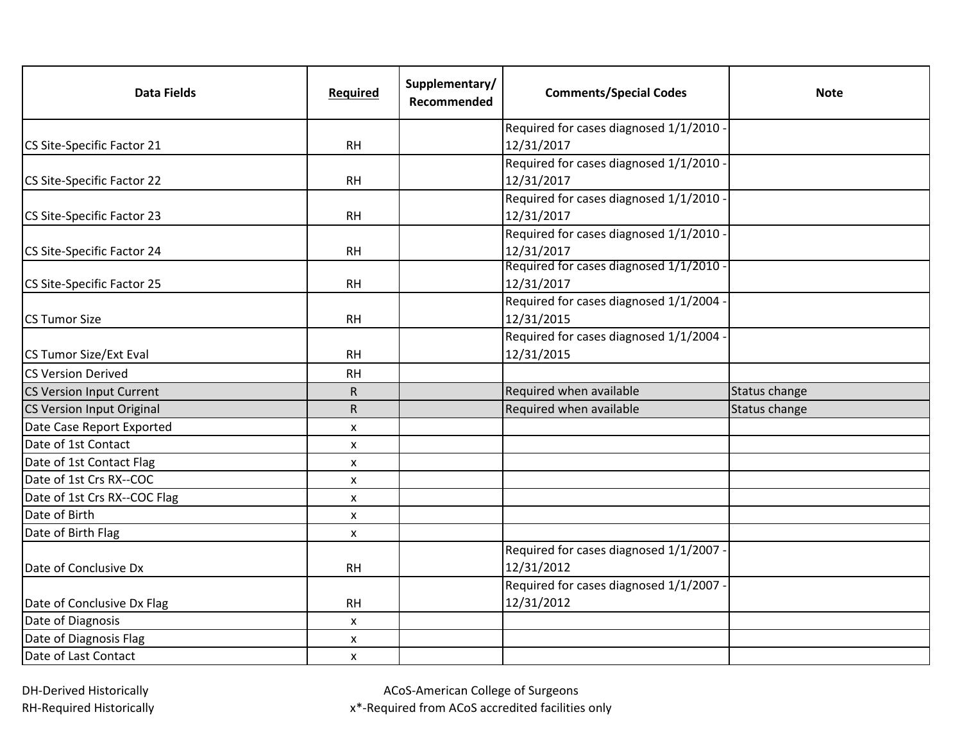| <b>Data Fields</b>              | Required       | Supplementary/<br>Recommended | <b>Comments/Special Codes</b>           | <b>Note</b>   |
|---------------------------------|----------------|-------------------------------|-----------------------------------------|---------------|
|                                 |                |                               | Required for cases diagnosed 1/1/2010   |               |
| CS Site-Specific Factor 21      | <b>RH</b>      |                               | 12/31/2017                              |               |
|                                 |                |                               | Required for cases diagnosed 1/1/2010   |               |
| CS Site-Specific Factor 22      | <b>RH</b>      |                               | 12/31/2017                              |               |
|                                 |                |                               | Required for cases diagnosed 1/1/2010   |               |
| CS Site-Specific Factor 23      | <b>RH</b>      |                               | 12/31/2017                              |               |
|                                 |                |                               | Required for cases diagnosed 1/1/2010 - |               |
| CS Site-Specific Factor 24      | <b>RH</b>      |                               | 12/31/2017                              |               |
|                                 |                |                               | Required for cases diagnosed 1/1/2010 - |               |
| CS Site-Specific Factor 25      | <b>RH</b>      |                               | 12/31/2017                              |               |
|                                 |                |                               | Required for cases diagnosed 1/1/2004   |               |
| <b>CS Tumor Size</b>            | <b>RH</b>      |                               | 12/31/2015                              |               |
|                                 |                |                               | Required for cases diagnosed 1/1/2004   |               |
| CS Tumor Size/Ext Eval          | <b>RH</b>      |                               | 12/31/2015                              |               |
| <b>CS Version Derived</b>       | <b>RH</b>      |                               |                                         |               |
| <b>CS Version Input Current</b> | ${\sf R}$      |                               | Required when available                 | Status change |
| CS Version Input Original       | $\mathsf{R}$   |                               | Required when available                 | Status change |
| Date Case Report Exported       | X              |                               |                                         |               |
| Date of 1st Contact             | X              |                               |                                         |               |
| Date of 1st Contact Flag        | X              |                               |                                         |               |
| Date of 1st Crs RX--COC         | $\pmb{\times}$ |                               |                                         |               |
| Date of 1st Crs RX--COC Flag    | X              |                               |                                         |               |
| Date of Birth                   | X              |                               |                                         |               |
| Date of Birth Flag              | X              |                               |                                         |               |
|                                 |                |                               | Required for cases diagnosed 1/1/2007 - |               |
| Date of Conclusive Dx           | RH             |                               | 12/31/2012                              |               |
|                                 |                |                               | Required for cases diagnosed 1/1/2007   |               |
| Date of Conclusive Dx Flag      | <b>RH</b>      |                               | 12/31/2012                              |               |
| Date of Diagnosis               | X              |                               |                                         |               |
| Date of Diagnosis Flag          | X              |                               |                                         |               |
| Date of Last Contact            | $\mathsf{x}$   |                               |                                         |               |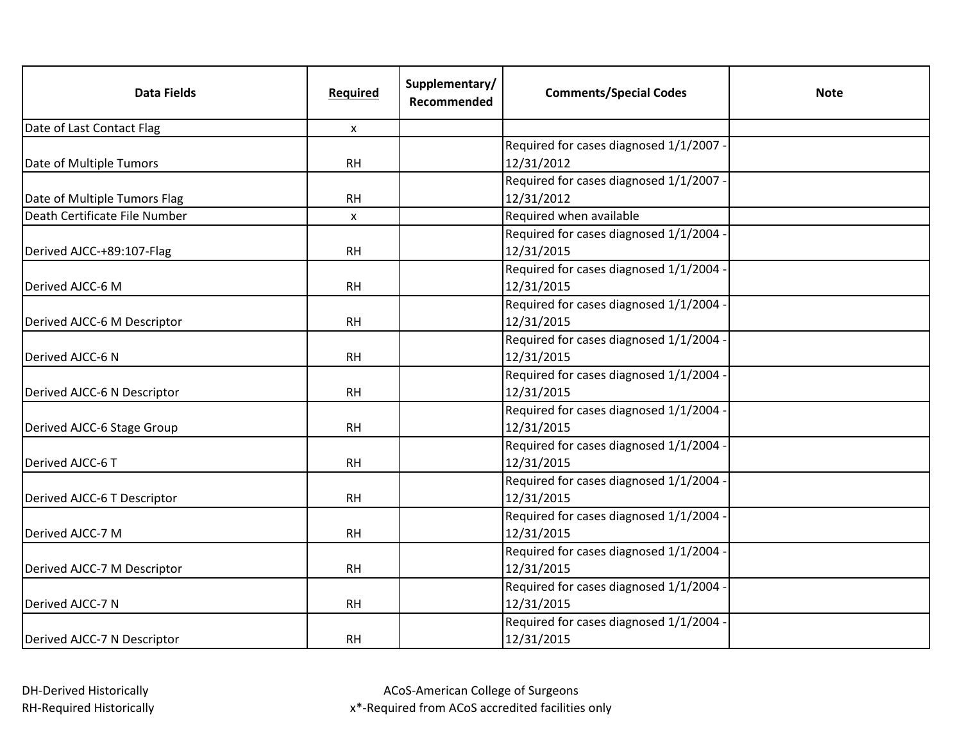| <b>Data Fields</b>            | Required     | Supplementary/<br>Recommended | <b>Comments/Special Codes</b>           | <b>Note</b> |
|-------------------------------|--------------|-------------------------------|-----------------------------------------|-------------|
| Date of Last Contact Flag     | X            |                               |                                         |             |
|                               |              |                               | Required for cases diagnosed 1/1/2007 - |             |
| Date of Multiple Tumors       | <b>RH</b>    |                               | 12/31/2012                              |             |
|                               |              |                               | Required for cases diagnosed 1/1/2007 - |             |
| Date of Multiple Tumors Flag  | <b>RH</b>    |                               | 12/31/2012                              |             |
| Death Certificate File Number | $\mathsf{x}$ |                               | Required when available                 |             |
|                               |              |                               | Required for cases diagnosed 1/1/2004   |             |
| Derived AJCC-+89:107-Flag     | <b>RH</b>    |                               | 12/31/2015                              |             |
|                               |              |                               | Required for cases diagnosed 1/1/2004   |             |
| Derived AJCC-6 M              | <b>RH</b>    |                               | 12/31/2015                              |             |
|                               |              |                               | Required for cases diagnosed 1/1/2004 - |             |
| Derived AJCC-6 M Descriptor   | <b>RH</b>    |                               | 12/31/2015                              |             |
|                               |              |                               | Required for cases diagnosed 1/1/2004   |             |
| Derived AJCC-6 N              | <b>RH</b>    |                               | 12/31/2015                              |             |
|                               |              |                               | Required for cases diagnosed 1/1/2004   |             |
| Derived AJCC-6 N Descriptor   | <b>RH</b>    |                               | 12/31/2015                              |             |
|                               |              |                               | Required for cases diagnosed 1/1/2004   |             |
| Derived AJCC-6 Stage Group    | <b>RH</b>    |                               | 12/31/2015                              |             |
|                               |              |                               | Required for cases diagnosed 1/1/2004   |             |
| Derived AJCC-6 T              | <b>RH</b>    |                               | 12/31/2015                              |             |
|                               |              |                               | Required for cases diagnosed 1/1/2004   |             |
| Derived AJCC-6 T Descriptor   | <b>RH</b>    |                               | 12/31/2015                              |             |
|                               |              |                               | Required for cases diagnosed 1/1/2004   |             |
| Derived AJCC-7 M              | <b>RH</b>    |                               | 12/31/2015                              |             |
|                               |              |                               | Required for cases diagnosed 1/1/2004 · |             |
| Derived AJCC-7 M Descriptor   | <b>RH</b>    |                               | 12/31/2015                              |             |
|                               |              |                               | Required for cases diagnosed 1/1/2004   |             |
| Derived AJCC-7 N              | <b>RH</b>    |                               | 12/31/2015                              |             |
|                               |              |                               | Required for cases diagnosed 1/1/2004 · |             |
| Derived AJCC-7 N Descriptor   | <b>RH</b>    |                               | 12/31/2015                              |             |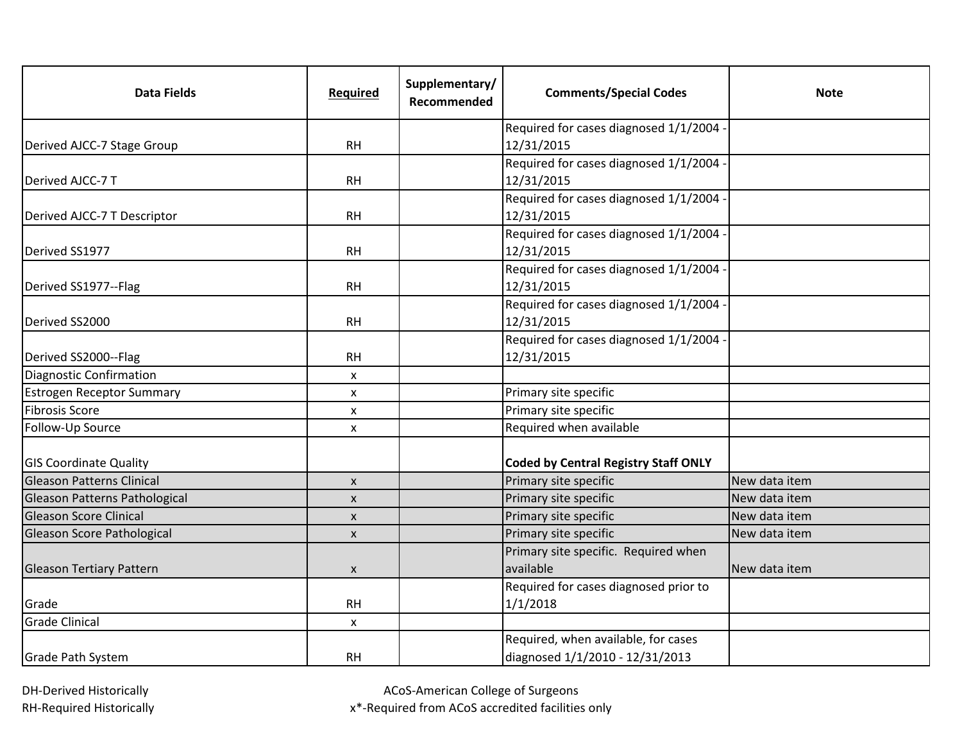| <b>Data Fields</b>               | Required           | Supplementary/<br>Recommended | <b>Comments/Special Codes</b>               | <b>Note</b>   |
|----------------------------------|--------------------|-------------------------------|---------------------------------------------|---------------|
|                                  |                    |                               | Required for cases diagnosed 1/1/2004       |               |
| Derived AJCC-7 Stage Group       | <b>RH</b>          |                               | 12/31/2015                                  |               |
|                                  |                    |                               | Required for cases diagnosed 1/1/2004       |               |
| Derived AJCC-7 T                 | <b>RH</b>          |                               | 12/31/2015                                  |               |
|                                  |                    |                               | Required for cases diagnosed 1/1/2004       |               |
| Derived AJCC-7 T Descriptor      | <b>RH</b>          |                               | 12/31/2015                                  |               |
|                                  |                    |                               | Required for cases diagnosed 1/1/2004       |               |
| Derived SS1977                   | <b>RH</b>          |                               | 12/31/2015                                  |               |
|                                  |                    |                               | Required for cases diagnosed 1/1/2004       |               |
| Derived SS1977--Flag             | <b>RH</b>          |                               | 12/31/2015                                  |               |
|                                  |                    |                               | Required for cases diagnosed 1/1/2004       |               |
| Derived SS2000                   | <b>RH</b>          |                               | 12/31/2015                                  |               |
|                                  |                    |                               | Required for cases diagnosed 1/1/2004       |               |
| Derived SS2000--Flag             | <b>RH</b>          |                               | 12/31/2015                                  |               |
| Diagnostic Confirmation          | $\pmb{\times}$     |                               |                                             |               |
| <b>Estrogen Receptor Summary</b> | X                  |                               | Primary site specific                       |               |
| <b>Fibrosis Score</b>            | X                  |                               | Primary site specific                       |               |
| Follow-Up Source                 | X                  |                               | Required when available                     |               |
| <b>GIS Coordinate Quality</b>    |                    |                               | <b>Coded by Central Registry Staff ONLY</b> |               |
| <b>Gleason Patterns Clinical</b> | $\pmb{\times}$     |                               | Primary site specific                       | New data item |
| Gleason Patterns Pathological    | X                  |                               | Primary site specific                       | New data item |
| <b>Gleason Score Clinical</b>    | $\pmb{\mathsf{X}}$ |                               | Primary site specific                       | New data item |
| Gleason Score Pathological       | $\mathsf{x}$       |                               | Primary site specific                       | New data item |
|                                  |                    |                               | Primary site specific. Required when        |               |
| <b>Gleason Tertiary Pattern</b>  | X                  |                               | available                                   | New data item |
|                                  |                    |                               | Required for cases diagnosed prior to       |               |
| Grade                            | <b>RH</b>          |                               | 1/1/2018                                    |               |
| <b>Grade Clinical</b>            | X                  |                               |                                             |               |
|                                  |                    |                               | Required, when available, for cases         |               |
| <b>Grade Path System</b>         | <b>RH</b>          |                               | diagnosed 1/1/2010 - 12/31/2013             |               |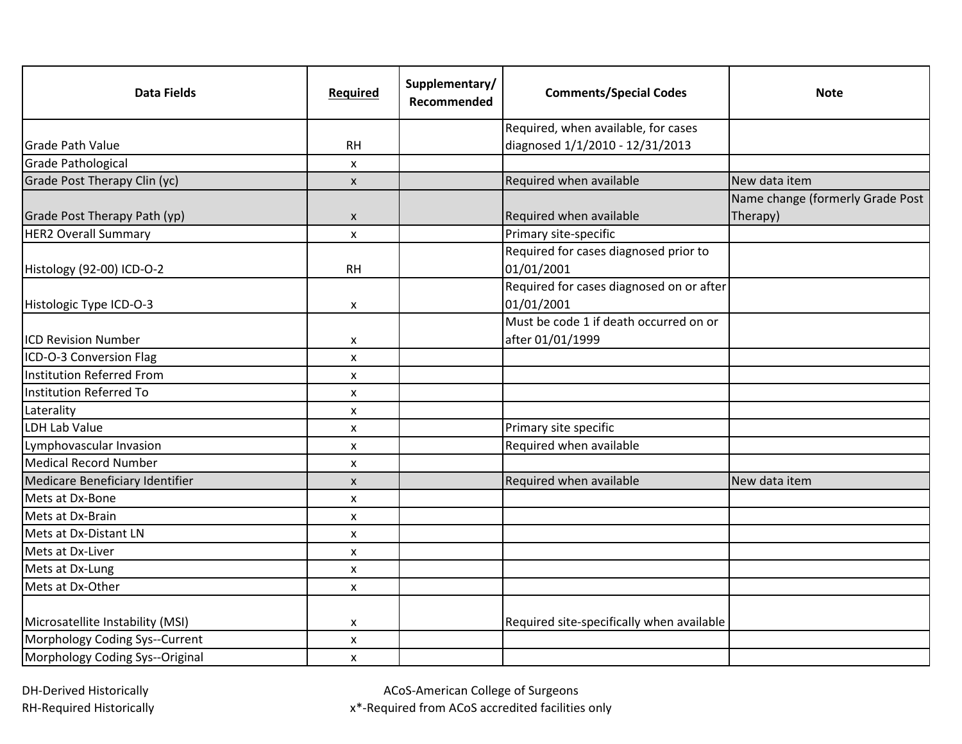| <b>Data Fields</b>               | Required           | Supplementary/<br>Recommended | <b>Comments/Special Codes</b>                              | <b>Note</b>                      |
|----------------------------------|--------------------|-------------------------------|------------------------------------------------------------|----------------------------------|
|                                  |                    |                               | Required, when available, for cases                        |                                  |
| <b>Grade Path Value</b>          | <b>RH</b>          |                               | diagnosed 1/1/2010 - 12/31/2013                            |                                  |
| <b>Grade Pathological</b>        | $\pmb{\mathsf{X}}$ |                               |                                                            |                                  |
| Grade Post Therapy Clin (yc)     | $\mathsf{x}$       |                               | Required when available                                    | New data item                    |
|                                  |                    |                               |                                                            | Name change (formerly Grade Post |
| Grade Post Therapy Path (yp)     | X                  |                               | Required when available                                    | Therapy)                         |
| <b>HER2 Overall Summary</b>      | $\pmb{\times}$     |                               | Primary site-specific                                      |                                  |
| Histology (92-00) ICD-O-2        | <b>RH</b>          |                               | Required for cases diagnosed prior to<br>01/01/2001        |                                  |
| Histologic Type ICD-O-3          | X                  |                               | Required for cases diagnosed on or after<br>01/01/2001     |                                  |
| <b>ICD Revision Number</b>       | X                  |                               | Must be code 1 if death occurred on or<br>after 01/01/1999 |                                  |
| ICD-O-3 Conversion Flag          | X                  |                               |                                                            |                                  |
| Institution Referred From        | X                  |                               |                                                            |                                  |
| Institution Referred To          | $\pmb{\times}$     |                               |                                                            |                                  |
| Laterality                       | X                  |                               |                                                            |                                  |
| <b>LDH Lab Value</b>             | X                  |                               | Primary site specific                                      |                                  |
| Lymphovascular Invasion          | X                  |                               | Required when available                                    |                                  |
| <b>Medical Record Number</b>     | X                  |                               |                                                            |                                  |
| Medicare Beneficiary Identifier  | $\mathsf{x}$       |                               | Required when available                                    | New data item                    |
| Mets at Dx-Bone                  | X                  |                               |                                                            |                                  |
| Mets at Dx-Brain                 | X                  |                               |                                                            |                                  |
| Mets at Dx-Distant LN            | X                  |                               |                                                            |                                  |
| Mets at Dx-Liver                 | X                  |                               |                                                            |                                  |
| Mets at Dx-Lung                  | X                  |                               |                                                            |                                  |
| Mets at Dx-Other                 | X                  |                               |                                                            |                                  |
| Microsatellite Instability (MSI) | X                  |                               | Required site-specifically when available                  |                                  |
| Morphology Coding Sys--Current   | X                  |                               |                                                            |                                  |
| Morphology Coding Sys--Original  | $\mathsf{x}$       |                               |                                                            |                                  |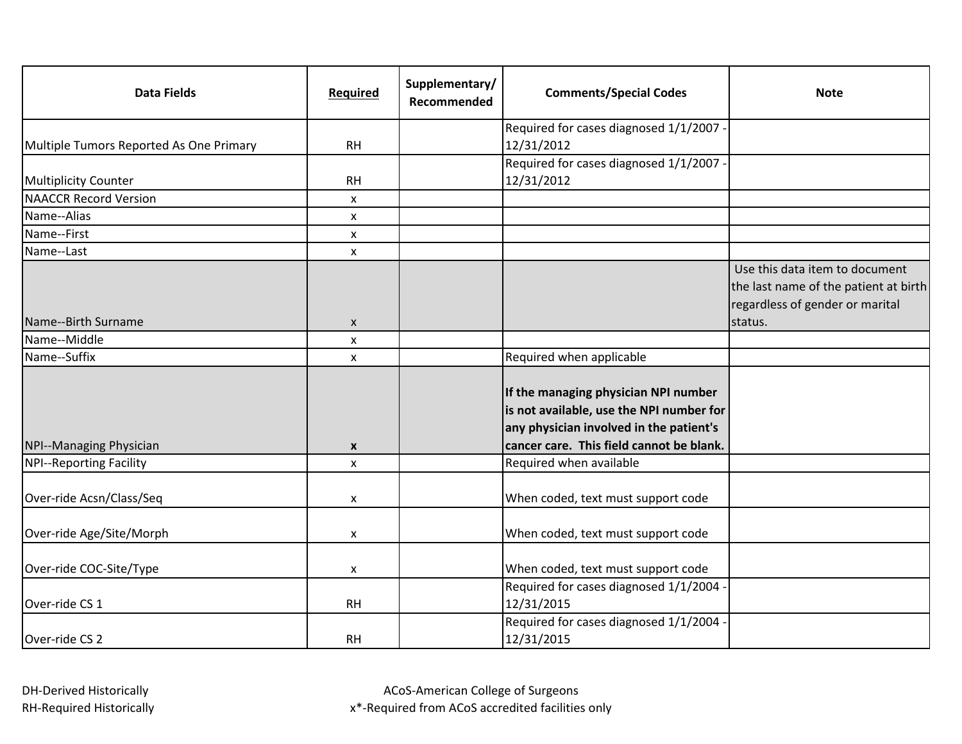| <b>Data Fields</b>                      | Required           | Supplementary/<br>Recommended | <b>Comments/Special Codes</b>                                                                                                                                           | <b>Note</b>                                                                                                |
|-----------------------------------------|--------------------|-------------------------------|-------------------------------------------------------------------------------------------------------------------------------------------------------------------------|------------------------------------------------------------------------------------------------------------|
|                                         |                    |                               | Required for cases diagnosed 1/1/2007                                                                                                                                   |                                                                                                            |
| Multiple Tumors Reported As One Primary | <b>RH</b>          |                               | 12/31/2012                                                                                                                                                              |                                                                                                            |
|                                         |                    |                               | Required for cases diagnosed 1/1/2007 -                                                                                                                                 |                                                                                                            |
| <b>Multiplicity Counter</b>             | <b>RH</b>          |                               | 12/31/2012                                                                                                                                                              |                                                                                                            |
| <b>NAACCR Record Version</b>            | X                  |                               |                                                                                                                                                                         |                                                                                                            |
| Name--Alias                             | X                  |                               |                                                                                                                                                                         |                                                                                                            |
| Name--First                             | X                  |                               |                                                                                                                                                                         |                                                                                                            |
| Name--Last                              | X                  |                               |                                                                                                                                                                         |                                                                                                            |
|                                         |                    |                               |                                                                                                                                                                         | Use this data item to document<br>the last name of the patient at birth<br>regardless of gender or marital |
| Name--Birth Surname                     | X                  |                               |                                                                                                                                                                         | status.                                                                                                    |
| Name--Middle                            | X                  |                               |                                                                                                                                                                         |                                                                                                            |
| Name--Suffix                            | X                  |                               | Required when applicable                                                                                                                                                |                                                                                                            |
| NPI--Managing Physician                 | $\pmb{\mathsf{X}}$ |                               | If the managing physician NPI number<br>is not available, use the NPI number for<br>any physician involved in the patient's<br>cancer care. This field cannot be blank. |                                                                                                            |
| <b>NPI--Reporting Facility</b>          | X                  |                               | Required when available                                                                                                                                                 |                                                                                                            |
| Over-ride Acsn/Class/Seq                | X                  |                               | When coded, text must support code                                                                                                                                      |                                                                                                            |
| Over-ride Age/Site/Morph                | X                  |                               | When coded, text must support code                                                                                                                                      |                                                                                                            |
| Over-ride COC-Site/Type                 | X                  |                               | When coded, text must support code                                                                                                                                      |                                                                                                            |
| Over-ride CS 1                          | <b>RH</b>          |                               | Required for cases diagnosed 1/1/2004<br>12/31/2015                                                                                                                     |                                                                                                            |
| Over-ride CS 2                          | <b>RH</b>          |                               | Required for cases diagnosed 1/1/2004<br>12/31/2015                                                                                                                     |                                                                                                            |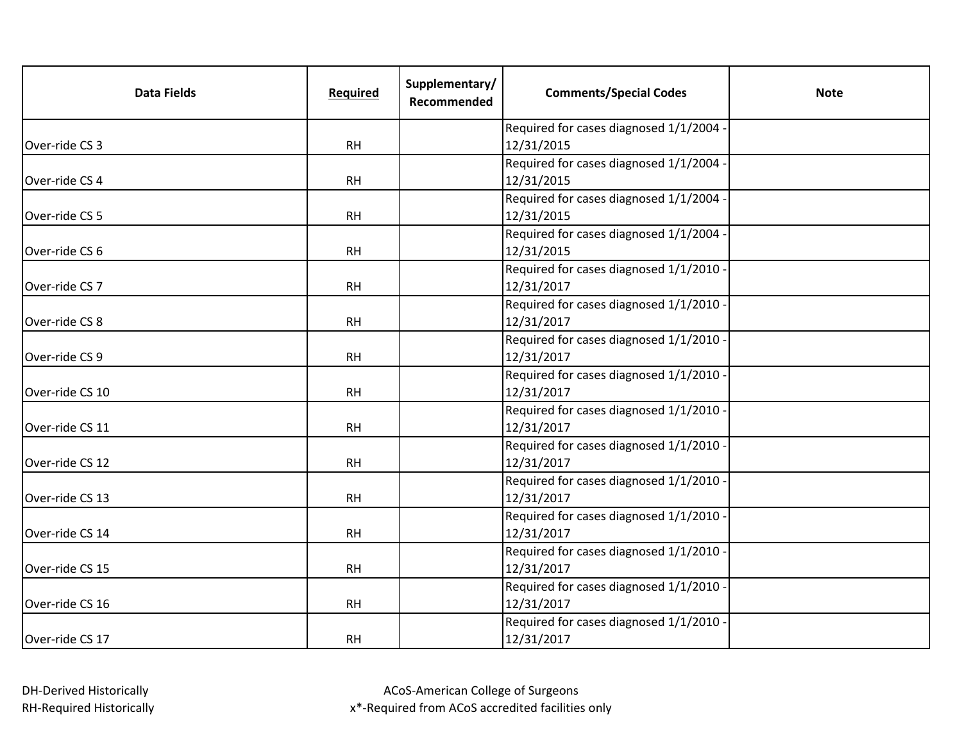| <b>Data Fields</b> | Required  | Supplementary/<br>Recommended | <b>Comments/Special Codes</b>           | <b>Note</b> |
|--------------------|-----------|-------------------------------|-----------------------------------------|-------------|
|                    |           |                               | Required for cases diagnosed 1/1/2004   |             |
| Over-ride CS 3     | <b>RH</b> |                               | 12/31/2015                              |             |
|                    |           |                               | Required for cases diagnosed 1/1/2004   |             |
| Over-ride CS 4     | <b>RH</b> |                               | 12/31/2015                              |             |
|                    |           |                               | Required for cases diagnosed 1/1/2004   |             |
| Over-ride CS 5     | <b>RH</b> |                               | 12/31/2015                              |             |
|                    |           |                               | Required for cases diagnosed 1/1/2004   |             |
| Over-ride CS 6     | <b>RH</b> |                               | 12/31/2015                              |             |
|                    |           |                               | Required for cases diagnosed 1/1/2010   |             |
| Over-ride CS 7     | <b>RH</b> |                               | 12/31/2017                              |             |
|                    |           |                               | Required for cases diagnosed 1/1/2010   |             |
| Over-ride CS 8     | <b>RH</b> |                               | 12/31/2017                              |             |
|                    |           |                               | Required for cases diagnosed 1/1/2010   |             |
| Over-ride CS 9     | <b>RH</b> |                               | 12/31/2017                              |             |
|                    |           |                               | Required for cases diagnosed 1/1/2010   |             |
| Over-ride CS 10    | <b>RH</b> |                               | 12/31/2017                              |             |
|                    |           |                               | Required for cases diagnosed 1/1/2010 - |             |
| Over-ride CS 11    | <b>RH</b> |                               | 12/31/2017                              |             |
|                    |           |                               | Required for cases diagnosed 1/1/2010   |             |
| Over-ride CS 12    | <b>RH</b> |                               | 12/31/2017                              |             |
|                    |           |                               | Required for cases diagnosed 1/1/2010   |             |
| Over-ride CS 13    | <b>RH</b> |                               | 12/31/2017                              |             |
|                    |           |                               | Required for cases diagnosed 1/1/2010   |             |
| Over-ride CS 14    | <b>RH</b> |                               | 12/31/2017                              |             |
|                    |           |                               | Required for cases diagnosed 1/1/2010   |             |
| Over-ride CS 15    | <b>RH</b> |                               | 12/31/2017                              |             |
|                    |           |                               | Required for cases diagnosed 1/1/2010   |             |
| Over-ride CS 16    | <b>RH</b> |                               | 12/31/2017                              |             |
|                    |           |                               | Required for cases diagnosed 1/1/2010   |             |
| Over-ride CS 17    | <b>RH</b> |                               | 12/31/2017                              |             |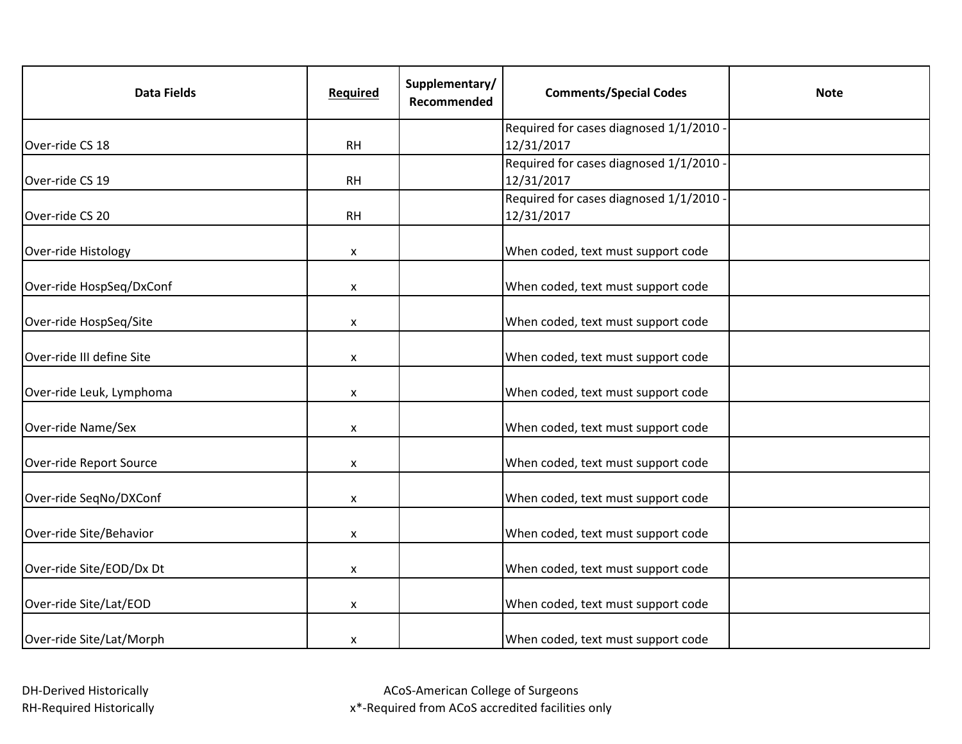| <b>Data Fields</b>        | <b>Required</b> | Supplementary/<br>Recommended | <b>Comments/Special Codes</b>                         | <b>Note</b> |
|---------------------------|-----------------|-------------------------------|-------------------------------------------------------|-------------|
|                           |                 |                               | Required for cases diagnosed 1/1/2010                 |             |
| Over-ride CS 18           | <b>RH</b>       |                               | 12/31/2017                                            |             |
|                           |                 |                               | Required for cases diagnosed 1/1/2010 -               |             |
| Over-ride CS 19           | <b>RH</b>       |                               | 12/31/2017                                            |             |
| Over-ride CS 20           | <b>RH</b>       |                               | Required for cases diagnosed 1/1/2010 -<br>12/31/2017 |             |
|                           |                 |                               |                                                       |             |
| Over-ride Histology       | X               |                               | When coded, text must support code                    |             |
| Over-ride HospSeq/DxConf  | X               |                               | When coded, text must support code                    |             |
| Over-ride HospSeq/Site    | X               |                               | When coded, text must support code                    |             |
| Over-ride III define Site | X               |                               | When coded, text must support code                    |             |
| Over-ride Leuk, Lymphoma  | X               |                               | When coded, text must support code                    |             |
| Over-ride Name/Sex        | X               |                               | When coded, text must support code                    |             |
| Over-ride Report Source   | X               |                               | When coded, text must support code                    |             |
| Over-ride SeqNo/DXConf    | X               |                               | When coded, text must support code                    |             |
| Over-ride Site/Behavior   | X               |                               | When coded, text must support code                    |             |
| Over-ride Site/EOD/Dx Dt  | X               |                               | When coded, text must support code                    |             |
| Over-ride Site/Lat/EOD    | X               |                               | When coded, text must support code                    |             |
| Over-ride Site/Lat/Morph  | X               |                               | When coded, text must support code                    |             |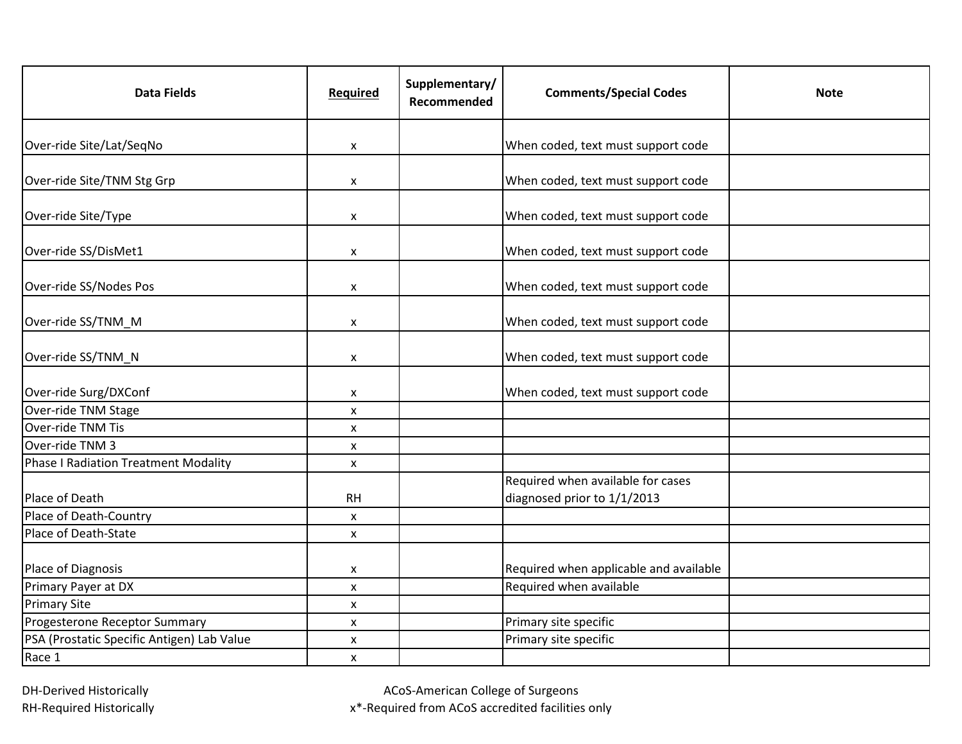| <b>Data Fields</b>                         | Required           | Supplementary/<br>Recommended | <b>Comments/Special Codes</b>                                    | <b>Note</b> |
|--------------------------------------------|--------------------|-------------------------------|------------------------------------------------------------------|-------------|
| Over-ride Site/Lat/SeqNo                   | X                  |                               | When coded, text must support code                               |             |
| Over-ride Site/TNM Stg Grp                 | X                  |                               | When coded, text must support code                               |             |
| Over-ride Site/Type                        | X                  |                               | When coded, text must support code                               |             |
| Over-ride SS/DisMet1                       | X                  |                               | When coded, text must support code                               |             |
| Over-ride SS/Nodes Pos                     | X                  |                               | When coded, text must support code                               |             |
| Over-ride SS/TNM_M                         | $\pmb{\mathsf{X}}$ |                               | When coded, text must support code                               |             |
| Over-ride SS/TNM_N                         | X                  |                               | When coded, text must support code                               |             |
| Over-ride Surg/DXConf                      | X                  |                               | When coded, text must support code                               |             |
| Over-ride TNM Stage                        | $\pmb{\mathsf{X}}$ |                               |                                                                  |             |
| Over-ride TNM Tis                          | X                  |                               |                                                                  |             |
| Over-ride TNM 3                            | X                  |                               |                                                                  |             |
| Phase I Radiation Treatment Modality       | X                  |                               |                                                                  |             |
| Place of Death                             | <b>RH</b>          |                               | Required when available for cases<br>diagnosed prior to 1/1/2013 |             |
| Place of Death-Country                     | X                  |                               |                                                                  |             |
| Place of Death-State                       | X                  |                               |                                                                  |             |
| Place of Diagnosis                         | X                  |                               | Required when applicable and available                           |             |
| Primary Payer at DX                        | $\pmb{\times}$     |                               | Required when available                                          |             |
| <b>Primary Site</b>                        | X                  |                               |                                                                  |             |
| Progesterone Receptor Summary              | X                  |                               | Primary site specific                                            |             |
| PSA (Prostatic Specific Antigen) Lab Value | X                  |                               | Primary site specific                                            |             |
| Race 1                                     | $\pmb{\mathsf{X}}$ |                               |                                                                  |             |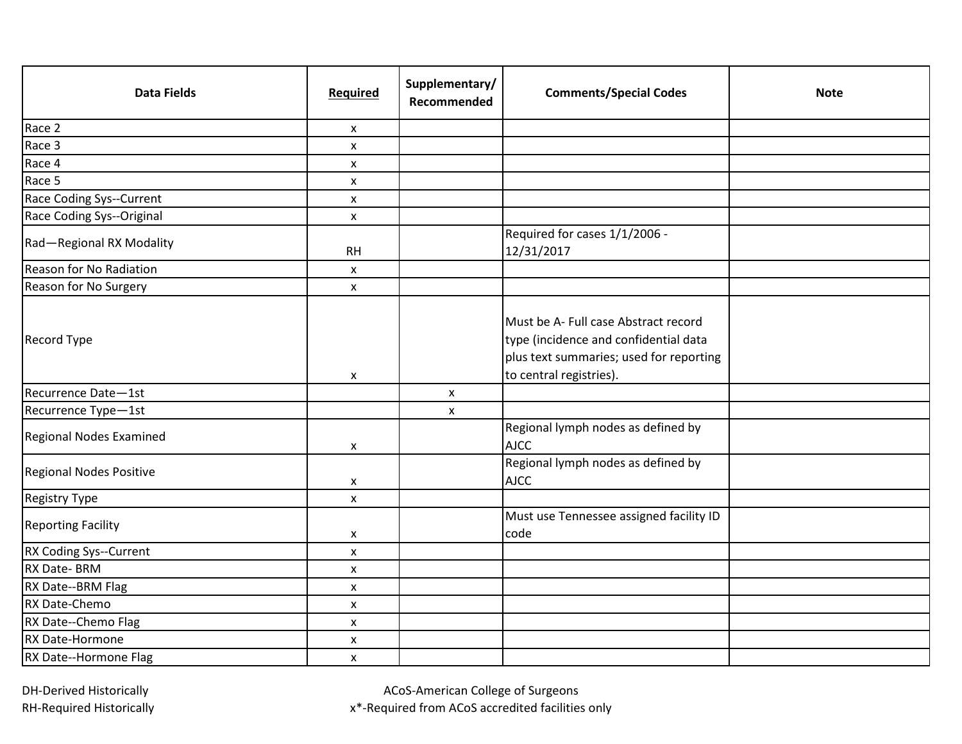| <b>Data Fields</b>             | Required           | Supplementary/<br>Recommended | <b>Comments/Special Codes</b>                                                                                                                       | <b>Note</b> |
|--------------------------------|--------------------|-------------------------------|-----------------------------------------------------------------------------------------------------------------------------------------------------|-------------|
| Race 2                         | X                  |                               |                                                                                                                                                     |             |
| Race 3                         | $\pmb{\mathsf{x}}$ |                               |                                                                                                                                                     |             |
| Race 4                         | X                  |                               |                                                                                                                                                     |             |
| Race 5                         | X                  |                               |                                                                                                                                                     |             |
| Race Coding Sys--Current       | $\pmb{\mathsf{X}}$ |                               |                                                                                                                                                     |             |
| Race Coding Sys--Original      | $\pmb{\mathsf{X}}$ |                               |                                                                                                                                                     |             |
| Rad-Regional RX Modality       | <b>RH</b>          |                               | Required for cases 1/1/2006 -<br>12/31/2017                                                                                                         |             |
| <b>Reason for No Radiation</b> | X                  |                               |                                                                                                                                                     |             |
| Reason for No Surgery          | X                  |                               |                                                                                                                                                     |             |
| Record Type                    | X                  |                               | Must be A- Full case Abstract record<br>type (incidence and confidential data<br>plus text summaries; used for reporting<br>to central registries). |             |
| Recurrence Date-1st            |                    | X                             |                                                                                                                                                     |             |
| Recurrence Type-1st            |                    | X                             |                                                                                                                                                     |             |
| Regional Nodes Examined        | X                  |                               | Regional lymph nodes as defined by<br><b>AJCC</b>                                                                                                   |             |
| <b>Regional Nodes Positive</b> | X                  |                               | Regional lymph nodes as defined by<br><b>AJCC</b>                                                                                                   |             |
| <b>Registry Type</b>           | $\pmb{\mathsf{x}}$ |                               |                                                                                                                                                     |             |
| <b>Reporting Facility</b>      | X                  |                               | Must use Tennessee assigned facility ID<br>code                                                                                                     |             |
| RX Coding Sys--Current         | X                  |                               |                                                                                                                                                     |             |
| RX Date-BRM                    | X                  |                               |                                                                                                                                                     |             |
| RX Date--BRM Flag              | X                  |                               |                                                                                                                                                     |             |
| RX Date-Chemo                  | $\pmb{\mathsf{X}}$ |                               |                                                                                                                                                     |             |
| RX Date--Chemo Flag            | X                  |                               |                                                                                                                                                     |             |
| RX Date-Hormone                | X                  |                               |                                                                                                                                                     |             |
| RX Date--Hormone Flag          | $\mathsf{x}$       |                               |                                                                                                                                                     |             |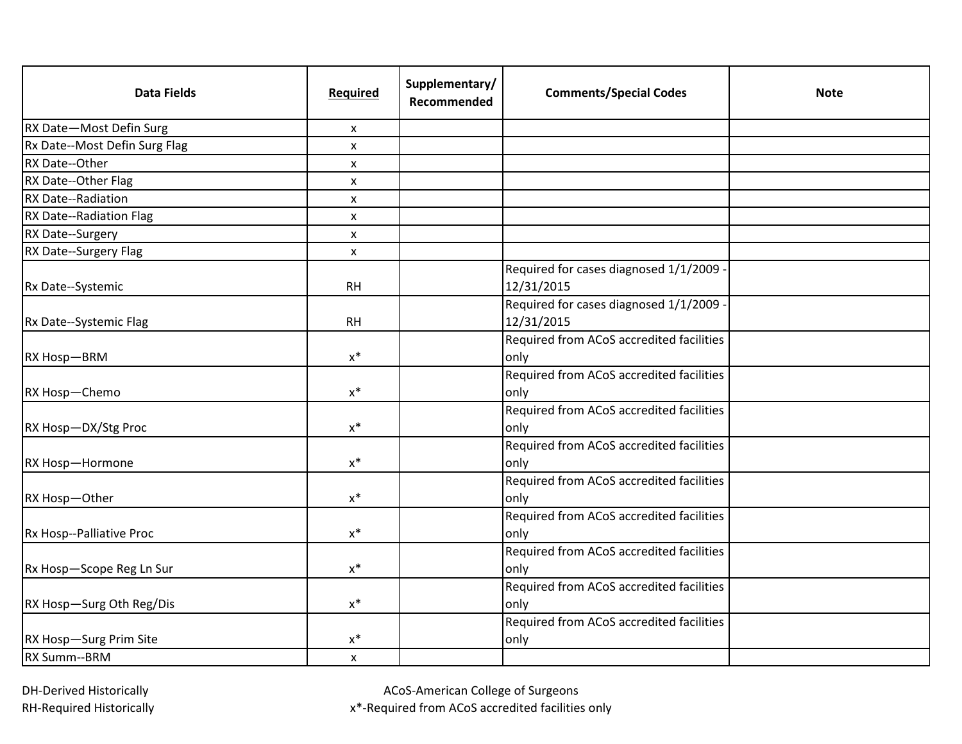| <b>Data Fields</b>            | Required           | Supplementary/<br>Recommended | <b>Comments/Special Codes</b>                       | <b>Note</b> |
|-------------------------------|--------------------|-------------------------------|-----------------------------------------------------|-------------|
| RX Date-Most Defin Surg       | X                  |                               |                                                     |             |
| Rx Date--Most Defin Surg Flag | X                  |                               |                                                     |             |
| RX Date--Other                | $\pmb{\mathsf{X}}$ |                               |                                                     |             |
| RX Date--Other Flag           | X                  |                               |                                                     |             |
| RX Date--Radiation            | X                  |                               |                                                     |             |
| RX Date--Radiation Flag       | X                  |                               |                                                     |             |
| RX Date--Surgery              | X                  |                               |                                                     |             |
| RX Date--Surgery Flag         | X                  |                               |                                                     |             |
| Rx Date--Systemic             | <b>RH</b>          |                               | Required for cases diagnosed 1/1/2009<br>12/31/2015 |             |
| Rx Date--Systemic Flag        | <b>RH</b>          |                               | Required for cases diagnosed 1/1/2009<br>12/31/2015 |             |
| RX Hosp-BRM                   | $x^*$              |                               | Required from ACoS accredited facilities<br>only    |             |
| RX Hosp-Chemo                 | $x^*$              |                               | Required from ACoS accredited facilities<br>only    |             |
| RX Hosp-DX/Stg Proc           | $\mathsf{X}^*$     |                               | Required from ACoS accredited facilities<br>only    |             |
| RX Hosp-Hormone               | $x^*$              |                               | Required from ACoS accredited facilities<br>only    |             |
| RX Hosp-Other                 | $x^*$              |                               | Required from ACoS accredited facilities<br>only    |             |
| Rx Hosp--Palliative Proc      | $x^*$              |                               | Required from ACoS accredited facilities<br>only    |             |
| Rx Hosp-Scope Reg Ln Sur      | $x^*$              |                               | Required from ACoS accredited facilities<br>only    |             |
| RX Hosp-Surg Oth Reg/Dis      | $x^*$              |                               | Required from ACoS accredited facilities<br>only    |             |
| RX Hosp-Surg Prim Site        | $x^*$              |                               | Required from ACoS accredited facilities<br>only    |             |
| RX Summ--BRM                  | $\pmb{\mathsf{X}}$ |                               |                                                     |             |

ACoS-American College of Surgeons

x\*-Required from ACoS accredited facilities only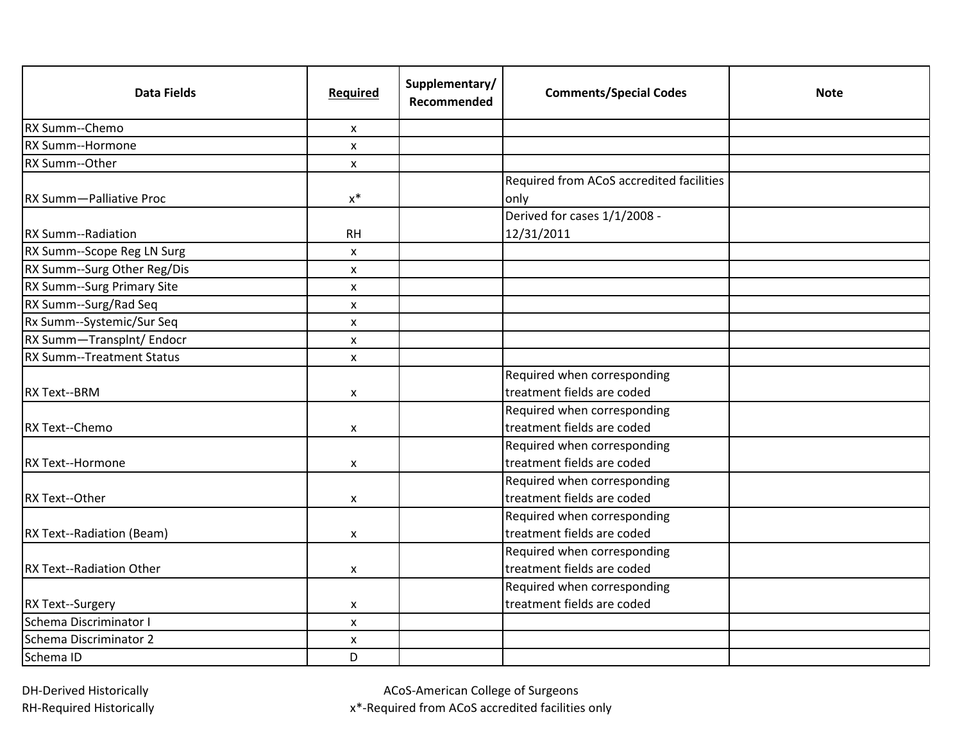| <b>Data Fields</b>               | Required           | Supplementary/<br>Recommended | <b>Comments/Special Codes</b>            | <b>Note</b> |
|----------------------------------|--------------------|-------------------------------|------------------------------------------|-------------|
| RX Summ--Chemo                   | X                  |                               |                                          |             |
| RX Summ--Hormone                 | $\pmb{\mathsf{X}}$ |                               |                                          |             |
| RX Summ--Other                   | $\mathsf{x}$       |                               |                                          |             |
|                                  |                    |                               | Required from ACoS accredited facilities |             |
| RX Summ-Palliative Proc          | $x^*$              |                               | only                                     |             |
|                                  |                    |                               | Derived for cases 1/1/2008 -             |             |
| RX Summ--Radiation               | <b>RH</b>          |                               | 12/31/2011                               |             |
| RX Summ--Scope Reg LN Surg       | X                  |                               |                                          |             |
| RX Summ--Surg Other Reg/Dis      | X                  |                               |                                          |             |
| RX Summ--Surg Primary Site       | X                  |                               |                                          |             |
| RX Summ--Surg/Rad Seq            | X                  |                               |                                          |             |
| Rx Summ--Systemic/Sur Seq        | $\pmb{\mathsf{X}}$ |                               |                                          |             |
| RX Summ-Transplnt/ Endocr        | X                  |                               |                                          |             |
| <b>RX Summ--Treatment Status</b> | X                  |                               |                                          |             |
|                                  |                    |                               | Required when corresponding              |             |
| <b>RX Text--BRM</b>              | X                  |                               | treatment fields are coded               |             |
|                                  |                    |                               | Required when corresponding              |             |
| RX Text--Chemo                   | X                  |                               | treatment fields are coded               |             |
|                                  |                    |                               | Required when corresponding              |             |
| RX Text--Hormone                 | X                  |                               | treatment fields are coded               |             |
|                                  |                    |                               | Required when corresponding              |             |
| RX Text--Other                   | X                  |                               | treatment fields are coded               |             |
|                                  |                    |                               | Required when corresponding              |             |
| RX Text--Radiation (Beam)        | X                  |                               | treatment fields are coded               |             |
|                                  |                    |                               | Required when corresponding              |             |
| <b>RX Text--Radiation Other</b>  | X                  |                               | treatment fields are coded               |             |
|                                  |                    |                               | Required when corresponding              |             |
| RX Text--Surgery                 | X                  |                               | treatment fields are coded               |             |
| Schema Discriminator I           | $\pmb{\mathsf{X}}$ |                               |                                          |             |
| Schema Discriminator 2           | X                  |                               |                                          |             |
| Schema ID                        | D                  |                               |                                          |             |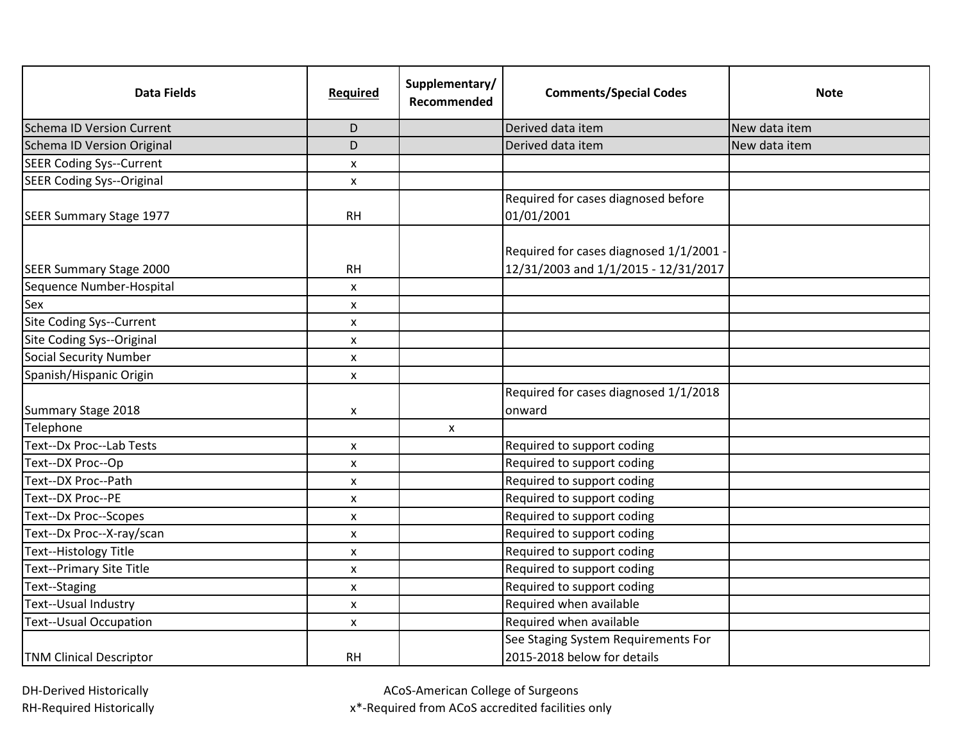| <b>Data Fields</b>               | Required     | Supplementary/<br>Recommended | <b>Comments/Special Codes</b>                                                   | Note          |
|----------------------------------|--------------|-------------------------------|---------------------------------------------------------------------------------|---------------|
| Schema ID Version Current        | D            |                               | Derived data item                                                               | New data item |
| Schema ID Version Original       | D            |                               | Derived data item                                                               | New data item |
| <b>SEER Coding Sys--Current</b>  | X            |                               |                                                                                 |               |
| <b>SEER Coding Sys--Original</b> | $\mathsf{x}$ |                               |                                                                                 |               |
|                                  |              |                               | Required for cases diagnosed before                                             |               |
| SEER Summary Stage 1977          | <b>RH</b>    |                               | 01/01/2001                                                                      |               |
| SEER Summary Stage 2000          | <b>RH</b>    |                               | Required for cases diagnosed 1/1/2001 ·<br>12/31/2003 and 1/1/2015 - 12/31/2017 |               |
| Sequence Number-Hospital         | X            |                               |                                                                                 |               |
| Sex                              | X            |                               |                                                                                 |               |
| Site Coding Sys--Current         | X            |                               |                                                                                 |               |
| Site Coding Sys--Original        | X            |                               |                                                                                 |               |
| <b>Social Security Number</b>    | X            |                               |                                                                                 |               |
| Spanish/Hispanic Origin          | X            |                               |                                                                                 |               |
| Summary Stage 2018               | X            |                               | Required for cases diagnosed 1/1/2018<br>onward                                 |               |
| Telephone                        |              | X                             |                                                                                 |               |
| Text--Dx Proc--Lab Tests         | X            |                               | Required to support coding                                                      |               |
| Text--DX Proc--Op                | X            |                               | Required to support coding                                                      |               |
| Text--DX Proc--Path              | X            |                               | Required to support coding                                                      |               |
| Text--DX Proc--PE                | X            |                               | Required to support coding                                                      |               |
| Text--Dx Proc--Scopes            | x            |                               | Required to support coding                                                      |               |
| Text--Dx Proc--X-ray/scan        | X            |                               | Required to support coding                                                      |               |
| Text--Histology Title            | x            |                               | Required to support coding                                                      |               |
| <b>Text--Primary Site Title</b>  | X            |                               | Required to support coding                                                      |               |
| Text--Staging                    | x            |                               | Required to support coding                                                      |               |
| Text--Usual Industry             | X            |                               | Required when available                                                         |               |
| <b>Text--Usual Occupation</b>    | X            |                               | Required when available                                                         |               |
| <b>TNM Clinical Descriptor</b>   | <b>RH</b>    |                               | See Staging System Requirements For<br>2015-2018 below for details              |               |

ACoS-American College of Surgeons

x\*-Required from ACoS accredited facilities only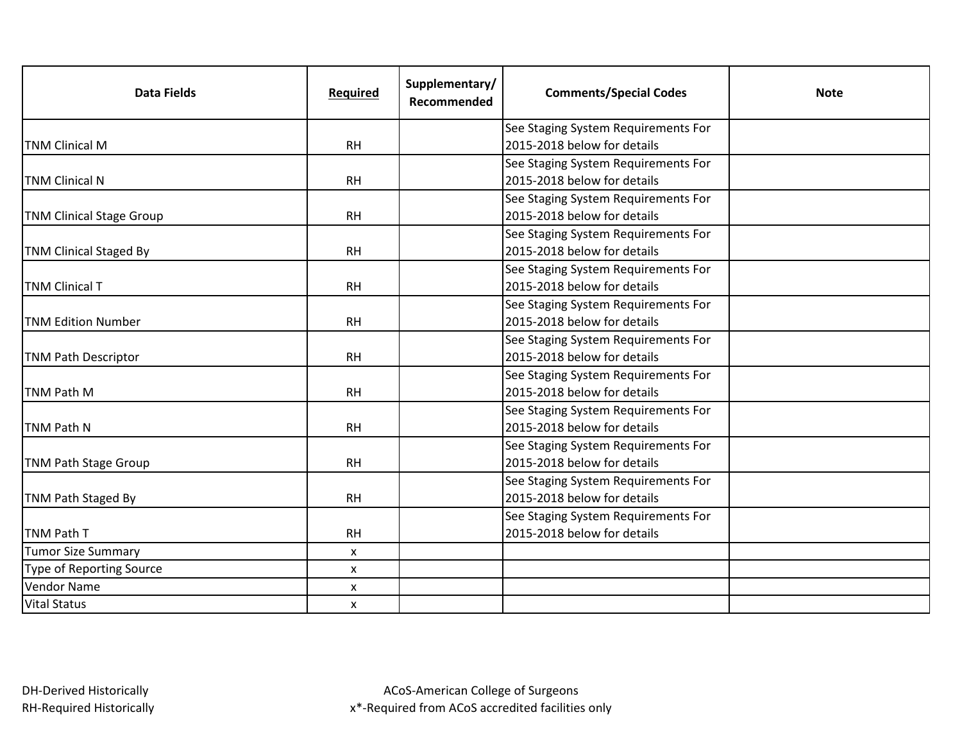| <b>Data Fields</b>              | Required  | Supplementary/<br>Recommended | <b>Comments/Special Codes</b>       | <b>Note</b> |
|---------------------------------|-----------|-------------------------------|-------------------------------------|-------------|
|                                 |           |                               | See Staging System Requirements For |             |
| <b>TNM Clinical M</b>           | <b>RH</b> |                               | 2015-2018 below for details         |             |
|                                 |           |                               | See Staging System Requirements For |             |
| <b>TNM Clinical N</b>           | <b>RH</b> |                               | 2015-2018 below for details         |             |
|                                 |           |                               | See Staging System Requirements For |             |
| <b>TNM Clinical Stage Group</b> | <b>RH</b> |                               | 2015-2018 below for details         |             |
|                                 |           |                               | See Staging System Requirements For |             |
| <b>TNM Clinical Staged By</b>   | <b>RH</b> |                               | 2015-2018 below for details         |             |
|                                 |           |                               | See Staging System Requirements For |             |
| <b>TNM Clinical T</b>           | <b>RH</b> |                               | 2015-2018 below for details         |             |
|                                 |           |                               | See Staging System Requirements For |             |
| <b>TNM Edition Number</b>       | <b>RH</b> |                               | 2015-2018 below for details         |             |
|                                 |           |                               | See Staging System Requirements For |             |
| <b>TNM Path Descriptor</b>      | <b>RH</b> |                               | 2015-2018 below for details         |             |
|                                 |           |                               | See Staging System Requirements For |             |
| TNM Path M                      | <b>RH</b> |                               | 2015-2018 below for details         |             |
|                                 |           |                               | See Staging System Requirements For |             |
| TNM Path N                      | <b>RH</b> |                               | 2015-2018 below for details         |             |
|                                 |           |                               | See Staging System Requirements For |             |
| <b>TNM Path Stage Group</b>     | <b>RH</b> |                               | 2015-2018 below for details         |             |
|                                 |           |                               | See Staging System Requirements For |             |
| TNM Path Staged By              | <b>RH</b> |                               | 2015-2018 below for details         |             |
|                                 |           |                               | See Staging System Requirements For |             |
| <b>TNM Path T</b>               | <b>RH</b> |                               | 2015-2018 below for details         |             |
| <b>Tumor Size Summary</b>       | X         |                               |                                     |             |
| <b>Type of Reporting Source</b> | X         |                               |                                     |             |
| <b>Vendor Name</b>              | X         |                               |                                     |             |
| <b>Vital Status</b>             | X         |                               |                                     |             |